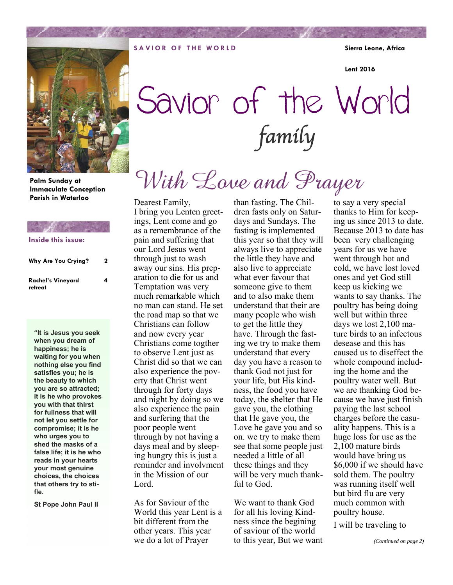**SAVIOR OF THE WORLD Sierra Leone, Africa** 

**Lent 2016** 



**Palm Sunday at Immaculate Conception Parish in Waterloo** 

## **Inside this issue:**

| Why Are You Crying?          | 2 |
|------------------------------|---|
| Rachel's Vineyard<br>retreat | 4 |

**"It is Jesus you seek when you dream of happiness; he is waiting for you when nothing else you find satisfies you; he is the beauty to which you are so attracted; it is he who provokes you with that thirst for fullness that will not let you settle for compromise; it is he who urges you to shed the masks of a false life; it is he who reads in your hearts your most genuine choices, the choices that others try to stifle.** 

**St Pope John Paul II** 

# Savior of the World .<br>family

# With Love and Prayer

Dearest Family, I bring you Lenten greetings, Lent come and go as a remembrance of the pain and suffering that our Lord Jesus went through just to wash away our sins. His preparation to die for us and Temptation was very much remarkable which no man can stand. He set the road map so that we Christians can follow and now every year Christians come togther to observe Lent just as Christ did so that we can also experience the poverty that Christ went through for forty days and night by doing so we also experience the pain and surfering that the poor people went through by not having a days meal and by sleeping hungry this is just a reminder and involvment in the Mission of our Lord.

As for Saviour of the World this year Lent is a bit different from the other years. This year we do a lot of Prayer

than fasting. The Children fasts only on Saturdays and Sundays. The fasting is implemented this year so that they will always live to appreciate the little they have and also live to appreciate what ever favour that someone give to them and to also make them understand that their are many people who wish to get the little they have. Through the fasting we try to make them understand that every day you have a reason to thank God not just for your life, but His kindness, the food you have today, the shelter that He gave you, the clothing that He gave you, the Love he gave you and so on. we try to make them see that some people just needed a little of all these things and they will be very much thankful to God.

We want to thank God for all his loving Kindness since the begining of saviour of the world to this year, But we want to say a very special thanks to Him for keeping us since 2013 to date. Because 2013 to date has been very challenging years for us we have went through hot and cold, we have lost loved ones and yet God still keep us kicking we wants to say thanks. The poultry has being doing well but within three days we lost 2,100 mature birds to an infectous desease and this has caused us to diseffect the whole compound including the home and the poultry water well. But we are thanking God because we have just finish paying the last school charges before the casuality happens. This is a huge loss for use as the 2,100 mature birds would have bring us \$6,000 if we should have sold them. The poultry was running itself well but bird flu are very much common with poultry house.

I will be traveling to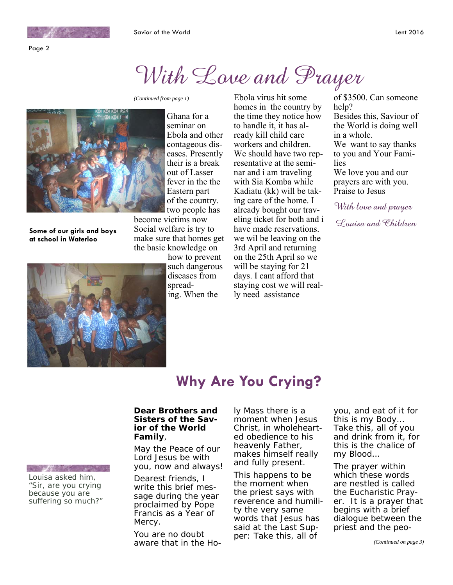## With Love and Prayer



**Some of our girls and boys at school in Waterloo** 



Ghana for a seminar on Ebola and other contageous diseases. Presently their is a break out of Lasser fever in the the Eastern part of the country. two people has

become victims now Social welfare is try to make sure that homes get the basic knowledge on

> how to prevent such dangerous diseases from spreading. When the

*(Continued from page 1)* Ebola virus hit some homes in the country by the time they notice how to handle it, it has already kill child care workers and children. We should have two representative at the seminar and i am traveling with Sia Komba while Kadiatu (kk) will be taking care of the home. I already bought our traveling ticket for both and i have made reservations. we wil be leaving on the 3rd April and returning on the 25th April so we will be staying for 21 days. I cant afford that staying cost we will really need assistance

of \$3500. Can someone help? Besides this, Saviour of the World is doing well in a whole. We want to say thanks to you and Your Families We love you and our prayers are with you. Praise to Jesus With love and prayer

Louisa and Children

## **Why Are You Crying?**

### *Dear Brothers and Sisters of the Savior of the World Family*,

May the Peace of our Lord Jesus be with you, now and always!

Dearest friends, I write this brief message during the year proclaimed by Pope Francis as a Year of Mercy.

You are no doubt aware that in the Holy Mass there is a moment when Jesus Christ, in wholehearted obedience to his heavenly Father, makes himself really and fully present.

This happens to be the moment when the priest says with reverence and humility the very same words that Jesus has said at the Last Supper: *Take this, all of* 

*you, and eat of it for this is my Body… Take this, all of you and drink from it, for this is the chalice of my Blood…* 

The prayer within which these words are nestled is called the Eucharistic Prayer. It is a prayer that begins with a brief dialogue between the priest and the peo-

**LAND REAL** Louisa asked him,

"Sir, are you crying because you are suffering so much?"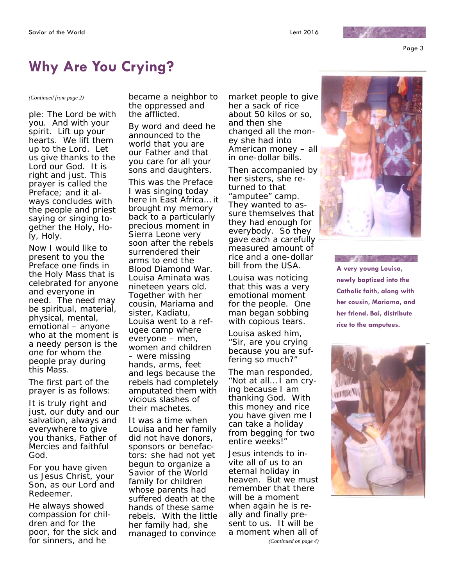Page 3

 $15 - 10$ 

## **Why Are You Crying?**

ple: *The Lord be with you. And with your spirit. Lift up your hearts. We lift them up to the Lord. Let us give thanks to the Lord our God. It is right and just.* This prayer is called the Preface; and it always concludes with the people and priest saying or singing together the *Holy, Holy, Holy.* 

Now I would like to present to you the Preface one finds in the Holy Mass that is celebrated for anyone and everyone in need. The need may be spiritual, material, physical, mental, emotional – anyone who at the moment is a needy person is the one for whom the people pray during this Mass.

The first part of the prayer is as follows:

*It is truly right and just, our duty and our salvation, always and everywhere to give you thanks, Father of Mercies and faithful God.* 

*For you have given us Jesus Christ, your Son, as our Lord and Redeemer.* 

*He always showed compassion for children and for the poor, for the sick and for sinners, and he* 

*(Continued from page 2) became a neighbor to the oppressed and the afflicted.* 

> *By word and deed he announced to the world that you are our Father and that you care for all your sons and daughters.*

This was the Preface I was singing today here in East Africa… it brought my memory back to a particularly precious moment in Sierra Leone very soon after the rebels surrendered their arms to end the Blood Diamond War. Louisa Aminata was nineteen years old. Together with her cousin, Mariama and sister, Kadiatu, Louisa went to a refugee camp where everyone – men, women and children – were missing hands, arms, feet and legs because the rebels had completely amputated them with vicious slashes of their machetes.

It was a time when Louisa and her family did not have donors, sponsors or benefactors: she had not yet begun to organize a Savior of the World family for children whose parents had suffered death at the hands of these same rebels. With the little her family had, she managed to convince

market people to give her a sack of rice about 50 kilos or so, and then she changed all the money she had into American money – all in one-dollar bills.

Then accompanied by her sisters, she returned to that "amputee" camp. They wanted to assure themselves that they had enough for everybody. So they gave each a carefully measured amount of rice and a one-dollar bill from the USA.

Louisa was noticing that this was a very emotional moment for the people. One man began sobbing with copious tears.

Louisa asked him, "Sir, are you crying because you are suffering so much?"

The man responded, "Not at all… I am crying because I am thanking God. With this money and rice you have given me I can take a holiday from begging for two entire weeks!"

Jesus intends to invite all of us to an eternal holiday in heaven. But we must remember that there will be a moment when again he is really and finally present to us. It will be a moment when all of





**A very young Louisa, newly baptized into the Catholic faith, along with her cousin, Mariama, and her friend, Bai, distribute rice to the amputees.** 

**AND AND MELTING AND SHELF**